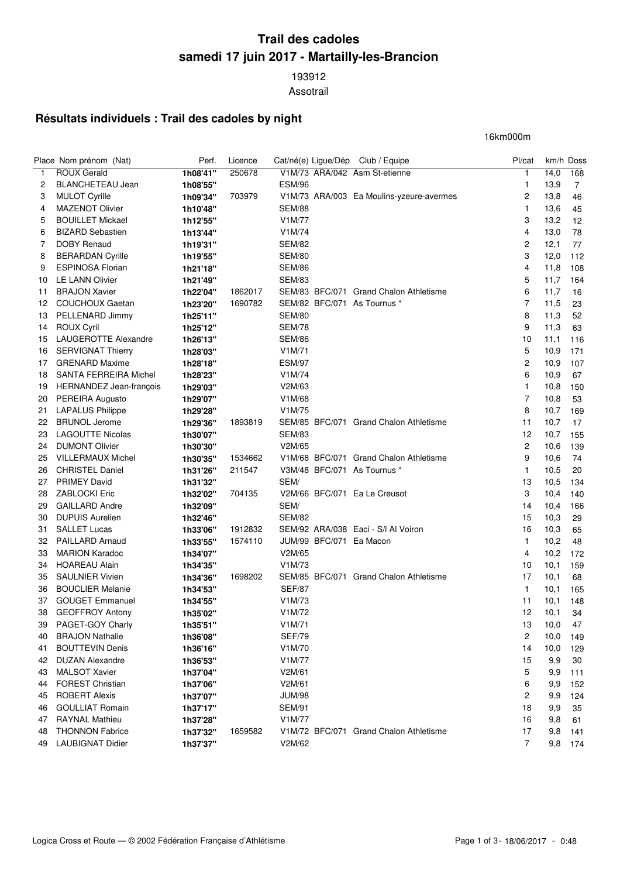## **Trail des cadoles samedi 17 juin 2017 - Martailly-les-Brancion**

 Assotrail

## **Résultats individuels : Trail des cadoles by night**

16km000m

|                | Place Nom prénom (Nat)       | Perf.    | Licence |                     | Cat/né(e) Ligue/Dép Club / Equipe        | Pl/cat         |      | km/h Doss      |
|----------------|------------------------------|----------|---------|---------------------|------------------------------------------|----------------|------|----------------|
| 1              | <b>ROUX Gerald</b>           | 1h08'41" | 250678  |                     | V1M/73 ARA/042 Asm St-etienne            | 1              | 14,0 | 168            |
| 2              | <b>BLANCHETEAU Jean</b>      | 1h08'55" |         | <b>ESM/96</b>       |                                          | 1              | 13,9 | $\overline{7}$ |
| 3              | <b>MULOT Cyrille</b>         | 1h09'34" | 703979  |                     | V1M/73 ARA/003 Ea Moulins-yzeure-avermes | 2              | 13,8 | 46             |
| 4              | <b>MAZENOT Olivier</b>       | 1h10'48" |         | <b>SEM/88</b>       |                                          | 1              | 13,6 | 45             |
| 5              | <b>BOUILLET Mickael</b>      | 1h12'55" |         | V1M/77              |                                          | 3              | 13,2 | 12             |
| 6              | <b>BIZARD Sebastien</b>      | 1h13'44" |         | V1M/74              |                                          | 4              | 13,0 | 78             |
| $\overline{7}$ | <b>DOBY Renaud</b>           | 1h19'31" |         | <b>SEM/82</b>       |                                          | 2              | 12,1 | 77             |
| 8              | <b>BERARDAN Cyrille</b>      | 1h19'55" |         | <b>SEM/80</b>       |                                          | 3              | 12,0 | 112            |
| 9              | <b>ESPINOSA Florian</b>      | 1h21'18" |         | <b>SEM/86</b>       |                                          | 4              | 11,8 | 108            |
| 10             | <b>LE LANN Olivier</b>       | 1h21'49" |         | <b>SEM/83</b>       |                                          | 5              | 11,7 | 164            |
| 11             | <b>BRAJON Xavier</b>         | 1h22'04" | 1862017 |                     | SEM/83 BFC/071 Grand Chalon Athletisme   | 6              | 11,7 | 16             |
| 12             | <b>COUCHOUX Gaetan</b>       | 1h23'20" | 1690782 |                     | SEM/82 BFC/071 As Tournus *              | $\overline{7}$ | 11,5 | 23             |
| 13             | PELLENARD Jimmy              | 1h25'11" |         | <b>SEM/80</b>       |                                          | 8              | 11,3 | 52             |
| 14             | <b>ROUX Cyril</b>            | 1h25'12" |         | <b>SEM/78</b>       |                                          | 9              | 11,3 | 63             |
| 15             | LAUGEROTTE Alexandre         | 1h26'13" |         | <b>SEM/86</b>       |                                          | 10             | 11,1 | 116            |
| 16             | <b>SERVIGNAT Thierry</b>     | 1h28'03" |         | V <sub>1</sub> M/71 |                                          | 5              | 10,9 | 171            |
| 17             | <b>GRENARD Maxime</b>        | 1h28'18" |         | <b>ESM/97</b>       |                                          | 2              | 10,9 | 107            |
| 18             | <b>SANTA FERREIRA Michel</b> | 1h28'23" |         | V1M/74              |                                          | 6              | 10,9 | 67             |
| 19             | HERNANDEZ Jean-françois      | 1h29'03" |         | V2M/63              |                                          | 1              | 10,8 | 150            |
| 20             | PEREIRA Augusto              | 1h29'07" |         | V1M/68              |                                          | 7              | 10,8 | 53             |
| 21             | <b>LAPALUS Philippe</b>      | 1h29'28" |         | V1M/75              |                                          | 8              | 10,7 | 169            |
| 22             | <b>BRUNOL Jerome</b>         | 1h29'36" | 1893819 |                     | SEM/85 BFC/071 Grand Chalon Athletisme   | 11             | 10,7 | 17             |
| 23             | <b>LAGOUTTE Nicolas</b>      | 1h30'07" |         | <b>SEM/83</b>       |                                          | 12             | 10,7 | 155            |
| 24             | <b>DUMONT Olivier</b>        | 1h30'30" |         | V2M/65              |                                          | 2              | 10,6 | 139            |
| 25             | <b>VILLERMAUX Michel</b>     | 1h30'35" | 1534662 |                     | V1M/68 BFC/071 Grand Chalon Athletisme   | 9              | 10,6 | 74             |
| 26             | <b>CHRISTEL Daniel</b>       | 1h31'26" | 211547  |                     | V3M/48 BFC/071 As Tournus *              | 1              | 10,5 | 20             |
| 27             | <b>PRIMEY David</b>          | 1h31'32" |         | SEM/                |                                          | 13             | 10,5 | 134            |
| 28             | <b>ZABLOCKI Eric</b>         | 1h32'02" | 704135  |                     | V2M/66 BFC/071 Ea Le Creusot             | 3              | 10,4 | 140            |
| 29             | <b>GAILLARD Andre</b>        | 1h32'09" |         | SEM/                |                                          | 14             | 10,4 | 166            |
| 30             | <b>DUPUIS Aurelien</b>       | 1h32'46" |         | <b>SEM/82</b>       |                                          | 15             | 10,3 | 29             |
| 31             | <b>SALLET Lucas</b>          | 1h33'06" | 1912832 |                     | SEM/92 ARA/038 Eaci - S/I Al Voiron      | 16             | 10,3 | 65             |
| 32             | <b>PAILLARD Arnaud</b>       | 1h33'55" | 1574110 |                     | JUM/99 BFC/071 Ea Macon                  | 1              | 10,2 | 48             |
| 33             | <b>MARION Karadoc</b>        | 1h34'07" |         | V2M/65              |                                          | 4              | 10,2 | 172            |
| 34             | <b>HOAREAU Alain</b>         | 1h34'35" |         | V1M/73              |                                          | 10             | 10,1 | 159            |
| 35             | <b>SAULNIER Vivien</b>       | 1h34'36" | 1698202 |                     | SEM/85 BFC/071 Grand Chalon Athletisme   | 17             | 10,1 | 68             |
| 36             | <b>BOUCLIER Melanie</b>      | 1h34'53" |         | <b>SEF/87</b>       |                                          | $\mathbf{1}$   | 10,1 | 165            |
| 37             | <b>GOUGET Emmanuel</b>       | 1h34'55" |         | V1M/73              |                                          | 11             | 10,1 | 148            |
| 38             | <b>GEOFFROY Antony</b>       | 1h35'02" |         | V1M/72              |                                          | 12             | 10,1 | 34             |
| 39             | PAGET-GOY Charly             | 1h35'51" |         | V1M/71              |                                          | 13             | 10,0 | 47             |
| 40             | <b>BRAJON Nathalie</b>       | 1h36'08" |         | <b>SEF/79</b>       |                                          | 2              | 10,0 | 149            |
| 41             | <b>BOUTTEVIN Denis</b>       | 1h36'16" |         | V1M/70              |                                          | 14             | 10,0 | 129            |
| 42             | <b>DUZAN Alexandre</b>       | 1h36'53" |         | V1M/77              |                                          | 15             | 9,9  | 30             |
| 43             | <b>MALSOT Xavier</b>         | 1h37'04" |         | V2M/61              |                                          | 5              | 9,9  | 111            |
| 44             | <b>FOREST Christian</b>      | 1h37'06" |         | V2M/61              |                                          | 6              | 9,9  | 152            |
| 45             | <b>ROBERT Alexis</b>         | 1h37'07" |         | <b>JUM/98</b>       |                                          | 2              | 9,9  | 124            |
| 46             | <b>GOULLIAT Romain</b>       | 1h37'17" |         | <b>SEM/91</b>       |                                          | 18             | 9,9  | 35             |
| 47             | <b>RAYNAL Mathieu</b>        | 1h37'28" |         | V1M/77              |                                          | 16             | 9,8  | 61             |
| 48             | <b>THONNON Fabrice</b>       | 1h37'32" | 1659582 |                     | V1M/72 BFC/071 Grand Chalon Athletisme   | 17             | 9,8  | 141            |
| 49             | <b>LAUBIGNAT Didier</b>      | 1h37'37" |         | V2M/62              |                                          | $\overline{7}$ | 9,8  | 174            |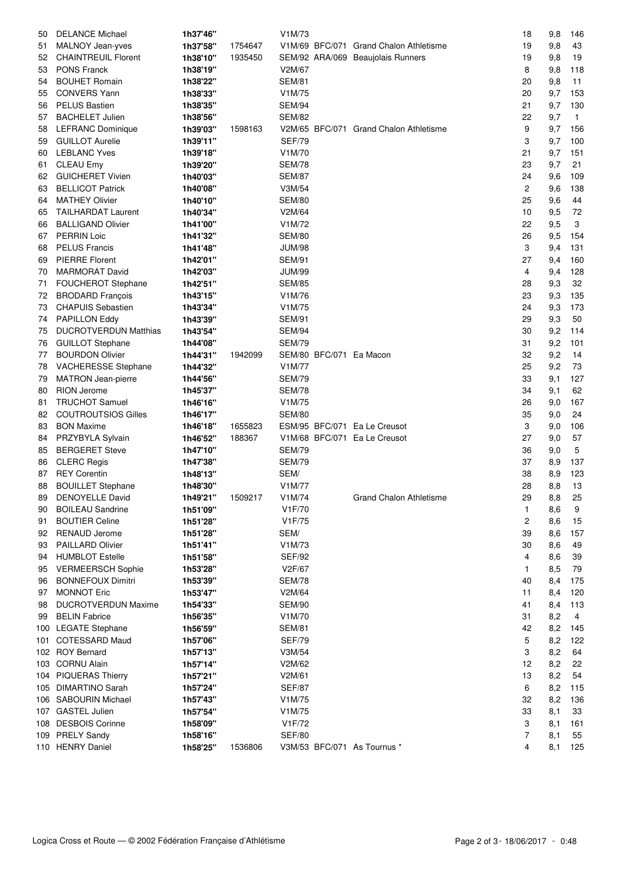| 50       | <b>DELANCE Michael</b>                          | 1h37'46"             |         | V1M/73                         |                                        | 18             | 9,8        | 146          |
|----------|-------------------------------------------------|----------------------|---------|--------------------------------|----------------------------------------|----------------|------------|--------------|
| 51       | MALNOY Jean-yves                                | 1h37'58"             | 1754647 |                                | V1M/69 BFC/071 Grand Chalon Athletisme | 19             | 9,8        | 43           |
| 52       | <b>CHAINTREUIL Florent</b>                      | 1h38'10"             | 1935450 |                                | SEM/92 ARA/069 Beaujolais Runners      | 19             | 9,8        | 19           |
| 53       | <b>PONS Franck</b>                              | 1h38'19"             |         | V2M/67                         |                                        | 8              | 9,8        | 118          |
| 54       | <b>BOUHET Romain</b>                            | 1h38'22"             |         | <b>SEM/81</b>                  |                                        | 20             | 9,8        | 11           |
| 55       | <b>CONVERS Yann</b>                             | 1h38'33"             |         | V1M/75                         |                                        | 20             | 9,7        | 153          |
| 56       | <b>PELUS Bastien</b>                            | 1h38'35"             |         | <b>SEM/94</b>                  |                                        | 21             | 9,7        | 130          |
| 57       | <b>BACHELET Julien</b>                          | 1h38'56"             |         | <b>SEM/82</b>                  |                                        | 22             | 9,7        | $\mathbf{1}$ |
| 58       | <b>LEFRANC Dominique</b>                        | 1h39'03"             | 1598163 |                                | V2M/65 BFC/071 Grand Chalon Athletisme | 9              | 9,7        | 156          |
| 59       | <b>GUILLOT Aurelie</b>                          | 1h39'11"             |         | <b>SEF/79</b>                  |                                        | 3              | 9,7        | 100          |
| 60       | <b>LEBLANC Yves</b>                             | 1h39'18"             |         | V1M/70                         |                                        | 21             | 9,7        | 151          |
| 61       | <b>CLEAU Emy</b>                                | 1h39'20"             |         | <b>SEM/78</b>                  |                                        | 23             | 9,7        | 21           |
| 62       | <b>GUICHERET Vivien</b>                         | 1h40'03"             |         | <b>SEM/87</b>                  |                                        | 24             | 9,6        | 109          |
| 63       | <b>BELLICOT Patrick</b>                         | 1h40'08"             |         | V3M/54                         |                                        | $\overline{c}$ | 9,6        | 138          |
| 64       | <b>MATHEY Olivier</b>                           | 1h40'10"             |         | <b>SEM/80</b>                  |                                        | 25             | 9,6        | 44           |
| 65       | <b>TAILHARDAT Laurent</b>                       | 1h40'34"             |         | V2M/64                         |                                        | 10             | 9,5        | 72           |
| 66       | <b>BALLIGAND Olivier</b>                        | 1h41'00"             |         | V1M/72                         |                                        | 22             | 9,5        | 3            |
| 67       | <b>PERRIN Loic</b>                              | 1h41'32"             |         | <b>SEM/80</b>                  |                                        | 26             | 9,5        | 154          |
| 68       | <b>PELUS Francis</b>                            | 1h41'48"             |         | <b>JUM/98</b>                  |                                        | 3              | 9,4        | 131          |
| 69       | <b>PIERRE Florent</b>                           | 1h42'01"             |         | <b>SEM/91</b>                  |                                        | 27             | 9,4        | 160          |
| 70       | <b>MARMORAT David</b>                           | 1h42'03"             |         | <b>JUM/99</b>                  |                                        | 4              | 9,4        | 128          |
| 71       | <b>FOUCHEROT Stephane</b>                       | 1h42'51"             |         | <b>SEM/85</b>                  |                                        | 28             | 9,3        | 32           |
| 72       | <b>BRODARD François</b>                         | 1h43'15"             |         | V1M/76                         |                                        | 23             | 9,3        | 135          |
| 73       | <b>CHAPUIS Sebastien</b>                        | 1h43'34"             |         | V1M/75                         |                                        | 24             | 9,3        | 173          |
| 74       | <b>PAPILLON Eddy</b>                            | 1h43'39"             |         | <b>SEM/91</b>                  |                                        | 29             | 9,3        | 50           |
| 75       | <b>DUCROTVERDUN Matthias</b>                    |                      |         | <b>SEM/94</b>                  |                                        | 30             | 9,2        | 114          |
|          | <b>GUILLOT Stephane</b>                         | 1h43'54"<br>1h44'08" |         | <b>SEM/79</b>                  |                                        | 31             | 9,2        | 101          |
| 76<br>77 | <b>BOURDON Olivier</b>                          | 1h44'31"             | 1942099 |                                | SEM/80 BFC/071 Ea Macon                | 32             |            | 14           |
|          |                                                 |                      |         | V1M/77                         |                                        | 25             | 9,2<br>9,2 | 73           |
| 78       | VACHERESSE Stephane                             | 1h44'32"             |         |                                |                                        |                |            |              |
| 79       | <b>MATRON</b> Jean-pierre<br><b>RION Jerome</b> | 1h44'56"             |         | <b>SEM/79</b><br><b>SEM/78</b> |                                        | 33<br>34       | 9,1        | 127<br>62    |
| 80       | <b>TRUCHOT Samuel</b>                           | 1h45'37"             |         | V1M/75                         |                                        | 26             | 9,1        | 167          |
| 81       |                                                 | 1h46'16"             |         |                                |                                        |                | 9,0        |              |
| 82       | <b>COUTROUTSIOS Gilles</b>                      | 1h46'17"             |         | <b>SEM/80</b>                  |                                        | 35             | 9,0        | 24           |
| 83       | <b>BON Maxime</b>                               | 1h46'18"             | 1655823 |                                | ESM/95 BFC/071 Ea Le Creusot           | 3              | 9,0        | 106          |
| 84       | PRZYBYLA Sylvain                                | 1h46'52"             | 188367  |                                | V1M/68 BFC/071 Ea Le Creusot           | 27             | 9,0        | 57           |
| 85       | <b>BERGERET Steve</b>                           | 1h47'10"             |         | <b>SEM/79</b>                  |                                        | 36             | 9,0        | 5            |
| 86       | <b>CLERC Regis</b>                              | 1h47'38"             |         | <b>SEM/79</b>                  |                                        | 37             | 8,9        | 137          |
| 87       | <b>REY Corentin</b>                             | 1h48'13"             |         | SEM/                           |                                        | 38             | 8,9        | 123          |
| 88       | <b>BOUILLET Stephane</b>                        | 1h48'30"             |         | V1M/77                         |                                        | 28             | 8,8        | 13           |
| 89       | DENOYELLE David                                 | 1h49'21"             | 1509217 | V1M/74                         | <b>Grand Chalon Athletisme</b>         | 29             | 8,8        | 25           |
| 90       | <b>BOILEAU Sandrine</b>                         | 1h51'09"             |         | V1F/70                         |                                        | 1              | 8,6        | 9            |
| 91       | <b>BOUTIER Celine</b>                           | 1h51'28"             |         | V1F/75                         |                                        | 2              | 8,6        | 15           |
| 92       | <b>RENAUD Jerome</b>                            | 1h51'28"             |         | SEM/                           |                                        | 39             | 8,6        | 157          |
| 93       | PAILLARD Olivier                                | 1h51'41"             |         | V1M/73                         |                                        | 30             | 8,6        | 49           |
| 94       | <b>HUMBLOT Estelle</b>                          | 1h51'58"             |         | <b>SEF/92</b>                  |                                        | 4              | 8,6        | 39           |
| 95       | <b>VERMEERSCH Sophie</b>                        | 1h53'28"             |         | V2F/67                         |                                        | 1              | 8,5        | 79           |
| 96       | <b>BONNEFOUX Dimitri</b>                        | 1h53'39"             |         | <b>SEM/78</b>                  |                                        | 40             | 8,4        | 175          |
| 97       | <b>MONNOT Eric</b>                              | 1h53'47"             |         | V2M/64                         |                                        | 11             | 8,4        | 120          |
| 98       | <b>DUCROTVERDUN Maxime</b>                      | 1h54'33"             |         | <b>SEM/90</b>                  |                                        | 41             | 8,4        | 113          |
| 99       | <b>BELIN Fabrice</b>                            | 1h56'35"             |         | V1M/70                         |                                        | 31             | 8,2        | 4            |
|          | 100 LEGATE Stephane                             | 1h56'59"             |         | <b>SEM/81</b>                  |                                        | 42             | 8,2        | 145          |
| 101      | <b>COTESSARD Maud</b>                           | 1h57'06"             |         | <b>SEF/79</b>                  |                                        | 5              | 8,2        | 122          |
|          | 102 ROY Bernard                                 | 1h57'13"             |         | V3M/54                         |                                        | 3              | 8,2        | 64           |
|          | 103 CORNU Alain                                 | 1h57'14"             |         | V2M/62                         |                                        | 12             | 8,2        | 22           |
|          | 104 PIQUERAS Thierry                            | 1h57'21"             |         | V2M/61                         |                                        | 13             | 8,2        | 54           |
|          | 105 DIMARTINO Sarah                             | 1h57'24"             |         | <b>SEF/87</b>                  |                                        | 6              | 8,2        | 115          |
|          | 106 SABOURIN Michael                            | 1h57'43"             |         | V1M/75                         |                                        | 32             | 8,2        | 136          |
|          | 107 GASTEL Julien                               | 1h57'54"             |         | V1M/75                         |                                        | 33             | 8,1        | 33           |
|          | 108 DESBOIS Corinne                             | 1h58'09"             |         | V1F/72                         |                                        | 3              | 8,1        | 161          |
|          | 109 PRELY Sandy                                 | 1h58'16"             |         | <b>SEF/80</b>                  |                                        | 7              | 8,1        | 55           |
|          | 110 HENRY Daniel                                | 1h58'25"             | 1536806 |                                | V3M/53 BFC/071 As Tournus *            | 4              | 8,1        | 125          |